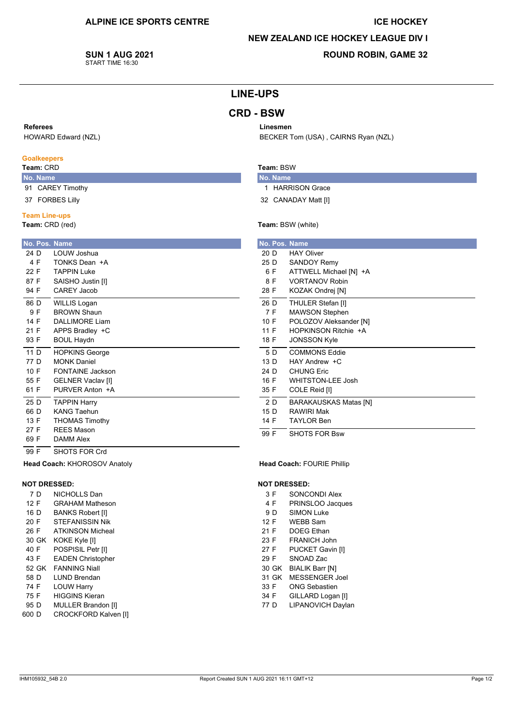### **ICE HOCKEY**

## **NEW ZEALAND ICE HOCKEY LEAGUE DIV I**

BECKER Tom (USA), CAIRNS Ryan (NZL)

**SUN 1 AUG 2021** START TIME 16:30

## **ROUND ROBIN, GAME 32**

## **LINE-UPS**

## **CRD - BSW**

### Referees

HOWARD Edward (NZL)

### **Goalkeepers**

## Team: CRD

- No. Name 91 CAREY Timothy
- 37 FORBES Lilly
- 

## **Team Line-ups**

Team: CRD (red)

|      |      | No. Pos. Name            |
|------|------|--------------------------|
|      | 24 D | LOUW Joshua              |
|      | 4 F  | TONKS Dean +A            |
| 22 F |      | TAPPIN Luke              |
|      | 87 F | SAISHO Justin [I]        |
| 94 F |      | <b>CAREY Jacob</b>       |
|      | 86 D | WILLIS Logan             |
|      | 9 F  | <b>BROWN Shaun</b>       |
|      | 14 F | DALLIMORE Liam           |
| 21 F |      | APPS Bradley +C          |
| 93 F |      | <b>BOUL Haydn</b>        |
|      | 11 D | <b>HOPKINS George</b>    |
|      | 77 D | <b>MONK Daniel</b>       |
| 10 F |      | FONTAINE Jackson         |
| 55 F |      | <b>GELNER Vaclav [I]</b> |
| 61 F |      | PURVER Anton +A          |
|      | 25 D | <b>TAPPIN Harry</b>      |
|      | 66 D | <b>KANG Taehun</b>       |
| 13 F |      | <b>THOMAS Timothy</b>    |
| 27 F |      | <b>REES Mason</b>        |
| 69 F |      | <b>DAMM Alex</b>         |
| 99 F |      | SHOTS FOR Crd            |

# Team: BSW

Linesmen

- No. Name 1 HARRISON Grace
- 32 CANADAY Matt [I]

#### Team: BSW (white)

| No. Pos. Name |                              |
|---------------|------------------------------|
| 20 D          | <b>HAY Oliver</b>            |
| 25 D          | <b>SANDOY Remy</b>           |
| 6 F           | ATTWELL Michael [N] +A       |
| 8 F           | <b>VORTANOV Robin</b>        |
| 28 F          | KOZAK Ondrej [N]             |
| 26 D          | THULER Stefan [I]            |
| 7 F           | <b>MAWSON Stephen</b>        |
| 10 F          | POLOZOV Aleksander [N]       |
| 11 F          | HOPKINSON Ritchie +A         |
| 18 F          | <b>JONSSON Kyle</b>          |
| 5 D           | <b>COMMONS Eddie</b>         |
| 13 D          | HAY Andrew +C                |
| 24 D          | <b>CHUNG Eric</b>            |
| 16 F          | <b>WHITSTON-LEE Josh</b>     |
| 35 F          | COLE Reid [I]                |
| 2 D           | <b>BARAKAUSKAS Matas [N]</b> |
| 15 D          | <b>RAWIRI Mak</b>            |
| 14 F          | <b>TAYLOR Ben</b>            |
| 99 F          | <b>SHOTS FOR Bsw</b>         |

#### Head Coach: FOURIE Phillip

#### **NOT DRESSED:**

- $3F$ SONCONDI Alex
- 4 F PRINSLOO Jacques
- 9 D **SIMON Luke**
- WEBB Sam  $12F$
- $21 F$ DOFG Fthan
- FRANICH John  $23 F$
- 27 F PUCKET Gavin [I]
- 29 F SNOAD Zac
- 30 GK BIALIK Barr [N]
- 31 GK MESSENGER Joel  $33 F$ **ONG Sebastien**
- 34 F
- GILLARD Logan [I] 77 D LIPANOVICH Daylan

95 D MULLER Brandon [I]

30 GK KOKE Kyle [I]

52 GK FANNING Niall

600 D CROCKFORD Kalven [I]

**LUND Brendan** 

**HIGGINS Kieran** 

**LOUW Harry** 

Head Coach: KHOROSOV Anatoly

NICHOLLS Dan

**BANKS Robert [I]** 

STEFANISSIN Nik

POSPISIL Petr [I]

**EADEN Christopher** 

**ATKINSON Micheal** 

**GRAHAM Matheson** 

**NOT DRESSED:** 

7 D

 $12 F$ 

16 D

 $20 F$ 

26 F

40 F

43 F

58 D 74 F

75 F